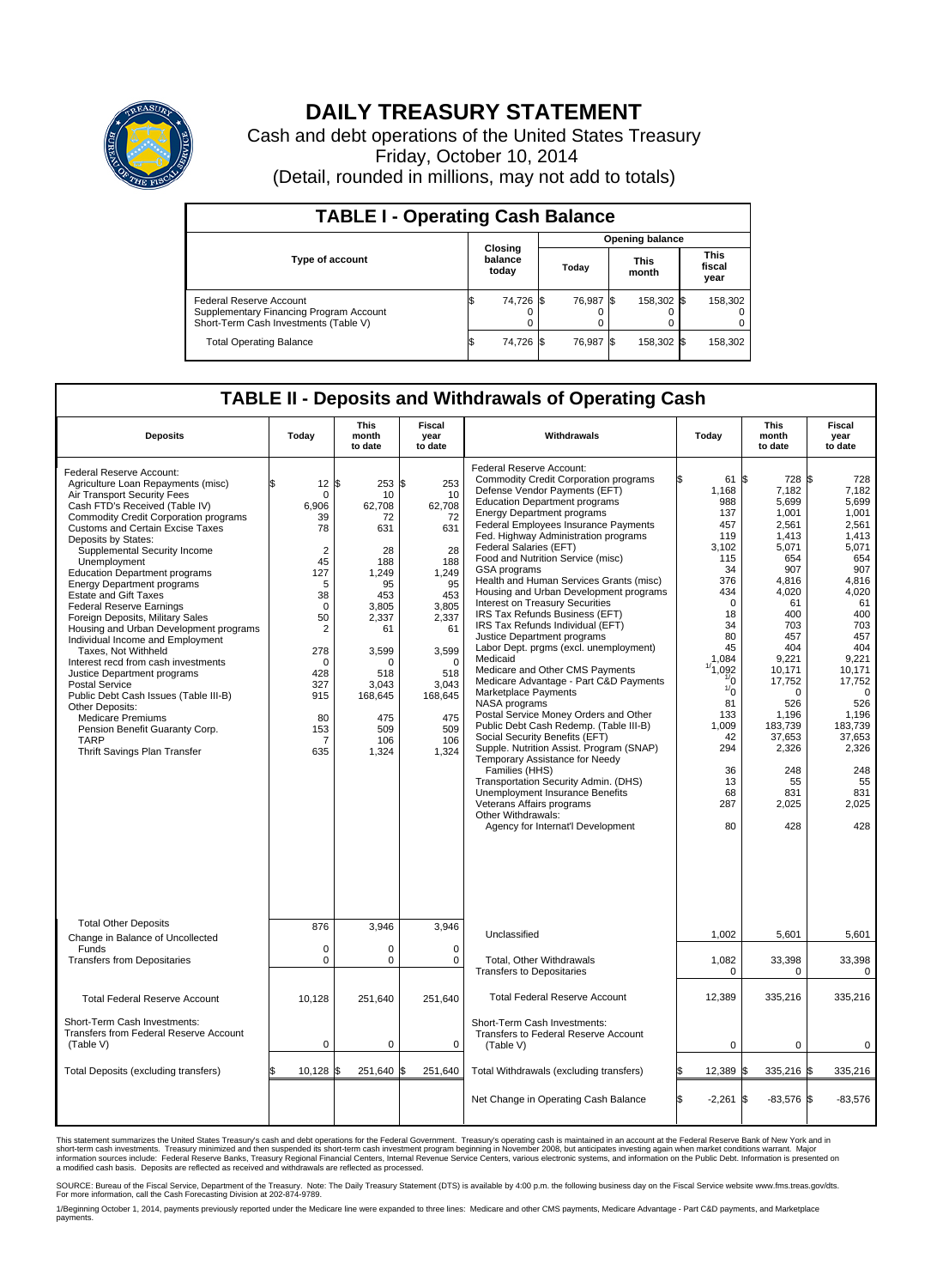

## **DAILY TREASURY STATEMENT**

Cash and debt operations of the United States Treasury Friday, October 10, 2014 (Detail, rounded in millions, may not add to totals)

| <b>TABLE I - Operating Cash Balance</b>                                                                     |    |                             |  |                        |  |                      |  |                               |  |  |
|-------------------------------------------------------------------------------------------------------------|----|-----------------------------|--|------------------------|--|----------------------|--|-------------------------------|--|--|
|                                                                                                             |    |                             |  | <b>Opening balance</b> |  |                      |  |                               |  |  |
| <b>Type of account</b>                                                                                      |    | Closing<br>balance<br>today |  | Today                  |  | <b>This</b><br>month |  | <b>This</b><br>fiscal<br>year |  |  |
| Federal Reserve Account<br>Supplementary Financing Program Account<br>Short-Term Cash Investments (Table V) |    | 74,726 \$                   |  | 76.987 \$              |  | 158,302 \$           |  | 158,302                       |  |  |
| <b>Total Operating Balance</b>                                                                              | ıа | 74,726 \$                   |  | 76.987 \$              |  | 158,302 \$           |  | 158,302                       |  |  |

## **TABLE II - Deposits and Withdrawals of Operating Cash**

| <b>Deposits</b>                                                                                                                                                                                                                                                                                                                                                                                                                                                                                                                                                                                                                                                                                                                                                                                                                                                    | Today                                                                                                                                                                              | <b>This</b><br>month<br>to date                                                                                                                                               | <b>Fiscal</b><br>year<br>to date                                                                                                                                          | Withdrawals                                                                                                                                                                                                                                                                                                                                                                                                                                                                                                                                                                                                                                                                                                                                                                                                                                                                                                                                                                                                                                                                                                                                                          | Today                                                                                                                                                                                                                                         | <b>This</b><br>month<br>to date                                                                                                                                                                                                                           | <b>Fiscal</b><br>year<br>to date                                                                                                                                                                                                                       |
|--------------------------------------------------------------------------------------------------------------------------------------------------------------------------------------------------------------------------------------------------------------------------------------------------------------------------------------------------------------------------------------------------------------------------------------------------------------------------------------------------------------------------------------------------------------------------------------------------------------------------------------------------------------------------------------------------------------------------------------------------------------------------------------------------------------------------------------------------------------------|------------------------------------------------------------------------------------------------------------------------------------------------------------------------------------|-------------------------------------------------------------------------------------------------------------------------------------------------------------------------------|---------------------------------------------------------------------------------------------------------------------------------------------------------------------------|----------------------------------------------------------------------------------------------------------------------------------------------------------------------------------------------------------------------------------------------------------------------------------------------------------------------------------------------------------------------------------------------------------------------------------------------------------------------------------------------------------------------------------------------------------------------------------------------------------------------------------------------------------------------------------------------------------------------------------------------------------------------------------------------------------------------------------------------------------------------------------------------------------------------------------------------------------------------------------------------------------------------------------------------------------------------------------------------------------------------------------------------------------------------|-----------------------------------------------------------------------------------------------------------------------------------------------------------------------------------------------------------------------------------------------|-----------------------------------------------------------------------------------------------------------------------------------------------------------------------------------------------------------------------------------------------------------|--------------------------------------------------------------------------------------------------------------------------------------------------------------------------------------------------------------------------------------------------------|
| Federal Reserve Account:<br>Agriculture Loan Repayments (misc)<br>Air Transport Security Fees<br>Cash FTD's Received (Table IV)<br><b>Commodity Credit Corporation programs</b><br><b>Customs and Certain Excise Taxes</b><br>Deposits by States:<br>Supplemental Security Income<br>Unemployment<br><b>Education Department programs</b><br><b>Energy Department programs</b><br><b>Estate and Gift Taxes</b><br><b>Federal Reserve Earnings</b><br>Foreign Deposits, Military Sales<br>Housing and Urban Development programs<br>Individual Income and Employment<br>Taxes. Not Withheld<br>Interest recd from cash investments<br>Justice Department programs<br><b>Postal Service</b><br>Public Debt Cash Issues (Table III-B)<br>Other Deposits:<br><b>Medicare Premiums</b><br>Pension Benefit Guaranty Corp.<br><b>TARP</b><br>Thrift Savings Plan Transfer | 12<br>$\Omega$<br>6,906<br>39<br>78<br>$\overline{2}$<br>45<br>127<br>5<br>38<br>$\Omega$<br>50<br>$\overline{2}$<br>278<br>$\Omega$<br>428<br>327<br>915<br>80<br>153<br>7<br>635 | \$<br>$253$ \$<br>10<br>62,708<br>72<br>631<br>28<br>188<br>1.249<br>95<br>453<br>3.805<br>2,337<br>61<br>3.599<br>O<br>518<br>3,043<br>168,645<br>475<br>509<br>106<br>1,324 | 253<br>10<br>62,708<br>72<br>631<br>28<br>188<br>1.249<br>95<br>453<br>3.805<br>2,337<br>61<br>3,599<br>$\Omega$<br>518<br>3,043<br>168,645<br>475<br>509<br>106<br>1,324 | Federal Reserve Account:<br><b>Commodity Credit Corporation programs</b><br>Defense Vendor Payments (EFT)<br><b>Education Department programs</b><br><b>Energy Department programs</b><br><b>Federal Employees Insurance Payments</b><br>Fed. Highway Administration programs<br>Federal Salaries (EFT)<br>Food and Nutrition Service (misc)<br><b>GSA</b> programs<br>Health and Human Services Grants (misc)<br>Housing and Urban Development programs<br>Interest on Treasury Securities<br>IRS Tax Refunds Business (EFT)<br>IRS Tax Refunds Individual (EFT)<br>Justice Department programs<br>Labor Dept. prgms (excl. unemployment)<br>Medicaid<br>Medicare and Other CMS Payments<br>Medicare Advantage - Part C&D Payments<br>Marketplace Payments<br>NASA programs<br>Postal Service Money Orders and Other<br>Public Debt Cash Redemp. (Table III-B)<br>Social Security Benefits (EFT)<br>Supple. Nutrition Assist. Program (SNAP)<br>Temporary Assistance for Needy<br>Families (HHS)<br>Transportation Security Admin. (DHS)<br>Unemployment Insurance Benefits<br>Veterans Affairs programs<br>Other Withdrawals:<br>Agency for Internat'l Development | 61 \$<br>1,168<br>988<br>137<br>457<br>119<br>3,102<br>115<br>34<br>376<br>434<br>$\mathbf 0$<br>18<br>34<br>80<br>45<br>1,084<br>1/1,092<br>$\frac{1}{0}$<br>$\frac{1}{0}$<br>81<br>133<br>1,009<br>42<br>294<br>36<br>13<br>68<br>287<br>80 | 728 \$<br>7,182<br>5,699<br>1.001<br>2,561<br>1,413<br>5,071<br>654<br>907<br>4,816<br>4,020<br>61<br>400<br>703<br>457<br>404<br>9,221<br>10,171<br>17,752<br>$\Omega$<br>526<br>1,196<br>183.739<br>37,653<br>2,326<br>248<br>55<br>831<br>2,025<br>428 | 728<br>7,182<br>5,699<br>1.001<br>2,561<br>1,413<br>5,071<br>654<br>907<br>4,816<br>4,020<br>61<br>400<br>703<br>457<br>404<br>9,221<br>10,171<br>17,752<br>$\Omega$<br>526<br>1,196<br>183.739<br>37,653<br>2,326<br>248<br>55<br>831<br>2,025<br>428 |
| <b>Total Other Deposits</b><br>Change in Balance of Uncollected<br>Funds<br><b>Transfers from Depositaries</b>                                                                                                                                                                                                                                                                                                                                                                                                                                                                                                                                                                                                                                                                                                                                                     | 876<br>$\pmb{0}$<br>$\mathbf 0$                                                                                                                                                    | 3,946<br>0<br>0                                                                                                                                                               | 3,946<br>$\Omega$<br>$\mathbf 0$                                                                                                                                          | Unclassified<br>Total, Other Withdrawals                                                                                                                                                                                                                                                                                                                                                                                                                                                                                                                                                                                                                                                                                                                                                                                                                                                                                                                                                                                                                                                                                                                             | 1,002<br>1,082                                                                                                                                                                                                                                | 5,601<br>33,398                                                                                                                                                                                                                                           | 5,601<br>33,398                                                                                                                                                                                                                                        |
| <b>Total Federal Reserve Account</b>                                                                                                                                                                                                                                                                                                                                                                                                                                                                                                                                                                                                                                                                                                                                                                                                                               | 10,128                                                                                                                                                                             | 251,640                                                                                                                                                                       | 251,640                                                                                                                                                                   | <b>Transfers to Depositaries</b><br><b>Total Federal Reserve Account</b>                                                                                                                                                                                                                                                                                                                                                                                                                                                                                                                                                                                                                                                                                                                                                                                                                                                                                                                                                                                                                                                                                             | $\Omega$<br>12,389                                                                                                                                                                                                                            | 0<br>335,216                                                                                                                                                                                                                                              | $\Omega$<br>335,216                                                                                                                                                                                                                                    |
| Short-Term Cash Investments:<br>Transfers from Federal Reserve Account<br>(Table V)                                                                                                                                                                                                                                                                                                                                                                                                                                                                                                                                                                                                                                                                                                                                                                                | $\pmb{0}$                                                                                                                                                                          | 0                                                                                                                                                                             | 0                                                                                                                                                                         | Short-Term Cash Investments:<br>Transfers to Federal Reserve Account<br>(Table V)                                                                                                                                                                                                                                                                                                                                                                                                                                                                                                                                                                                                                                                                                                                                                                                                                                                                                                                                                                                                                                                                                    | 0                                                                                                                                                                                                                                             | $\mathbf 0$                                                                                                                                                                                                                                               | $\pmb{0}$                                                                                                                                                                                                                                              |
| Total Deposits (excluding transfers)                                                                                                                                                                                                                                                                                                                                                                                                                                                                                                                                                                                                                                                                                                                                                                                                                               | 10.128                                                                                                                                                                             | 251.640                                                                                                                                                                       | \$<br>251,640                                                                                                                                                             | Total Withdrawals (excluding transfers)                                                                                                                                                                                                                                                                                                                                                                                                                                                                                                                                                                                                                                                                                                                                                                                                                                                                                                                                                                                                                                                                                                                              | 12,389 \$                                                                                                                                                                                                                                     | 335,216 \$                                                                                                                                                                                                                                                | 335,216                                                                                                                                                                                                                                                |
|                                                                                                                                                                                                                                                                                                                                                                                                                                                                                                                                                                                                                                                                                                                                                                                                                                                                    |                                                                                                                                                                                    |                                                                                                                                                                               |                                                                                                                                                                           | Net Change in Operating Cash Balance                                                                                                                                                                                                                                                                                                                                                                                                                                                                                                                                                                                                                                                                                                                                                                                                                                                                                                                                                                                                                                                                                                                                 | l\$<br>$-2,261$ \$                                                                                                                                                                                                                            | $-83,576$ \$                                                                                                                                                                                                                                              | $-83,576$                                                                                                                                                                                                                                              |

This statement summarizes the United States Treasury's cash and debt operations for the Federal Government. Treasury's operating cash is maintained in an account at the Federal Reserve Bank of New York and in<br>short-term ca

SOURCE: Bureau of the Fiscal Service, Department of the Treasury. Note: The Daily Treasury Statement (DTS) is available by 4:00 p.m. the following business day on the Fiscal Service website www.fms.treas.gov/dts.<br>For more

1/Beginning October 1, 2014, payments previously reported under the Medicare line were expanded to three lines: Medicare and other CMS payments, Medicare Advantage - Part C&D payments, and Marketplace<br>payments.